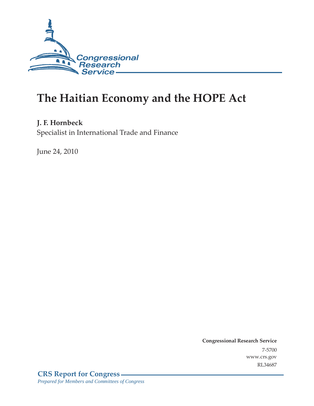

# **The Haitian Economy and the HOPE Act**

### **J. F. Hornbeck**

Specialist in International Trade and Finance

June 24, 2010

**Congressional Research Service** 7-5700 www.crs.gov RL34687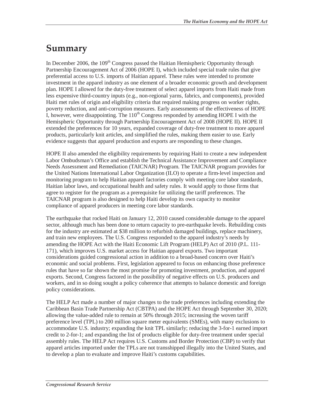## **Summary**

In December 2006, the  $109<sup>th</sup>$  Congress passed the Haitian Hemispheric Opportunity through Partnership Encouragement Act of 2006 (HOPE I), which included special trade rules that give preferential access to U.S. imports of Haitian apparel. These rules were intended to promote investment in the apparel industry as one element of a broader economic growth and development plan. HOPE I allowed for the duty-free treatment of select apparel imports from Haiti made from less expensive third-country inputs (e.g., non-regional yarns, fabrics, and components), provided Haiti met rules of origin and eligibility criteria that required making progress on worker rights, poverty reduction, and anti-corruption measures. Early assessments of the effectiveness of HOPE I, however, were disappointing. The  $110<sup>th</sup>$  Congress responded by amending HOPE I with the Hemispheric Opportunity through Partnership Encouragement Act of 2008 (HOPE II). HOPE II extended the preferences for 10 years, expanded coverage of duty-free treatment to more apparel products, particularly knit articles, and simplified the rules, making them easier to use. Early evidence suggests that apparel production and exports are responding to these changes.

HOPE II also amended the eligibility requirements by requiring Haiti to create a new independent Labor Ombudsman's Office and establish the Technical Assistance Improvement and Compliance Needs Assessment and Remediation (TAICNAR) Program. The TAICNAR program provides for the United Nations International Labor Organization (ILO) to operate a firm-level inspection and monitoring program to help Haitian apparel factories comply with meeting core labor standards, Haitian labor laws, and occupational health and safety rules. It would apply to those firms that agree to register for the program as a prerequisite for utilizing the tariff preferences. The TAICNAR program is also designed to help Haiti develop its own capacity to monitor compliance of apparel producers in meeting core labor standards.

The earthquake that rocked Haiti on January 12, 2010 caused considerable damage to the apparel sector, although much has been done to return capacity to pre-earthquake levels. Rebuilding costs for the industry are estimated at \$38 million to refurbish damaged buildings, replace machinery, and train new employees. The U.S. Congress responded to the apparel industry's needs by amending the HOPE Act with the Haiti Economic Lift Program (HELP) Act of 2010 (P.L. 111- 171), which improves U.S. market access for Haitian apparel exports. Two important considerations guided congressional action in addition to a broad-based concern over Haiti's economic and social problems. First, legislation appeared to focus on enhancing those preference rules that have so far shown the most promise for promoting investment, production, and apparel exports. Second, Congress factored in the possibility of negative effects on U.S. producers and workers, and in so doing sought a policy coherence that attempts to balance domestic and foreign policy considerations.

The HELP Act made a number of major changes to the trade preferences including extending the Caribbean Basin Trade Partnership Act (CBTPA) and the HOPE Act through September 30, 2020; allowing the value-added rule to remain at 50% through 2015; increasing the woven tariff preference level (TPL) to 200 million square meter equivalents (SMEs), with many exclusions to accommodate U.S. industry; expanding the knit TPL similarly; reducing the 3-for-1 earned import credit to 2-for-1; and expanding the list of products eligible for duty-free treatment under special assembly rules. The HELP Act requires U.S. Customs and Border Protection (CBP) to verify that apparel articles imported under the TPLs are not transshipped illegally into the United States, and to develop a plan to evaluate and improve Haiti's customs capabilities.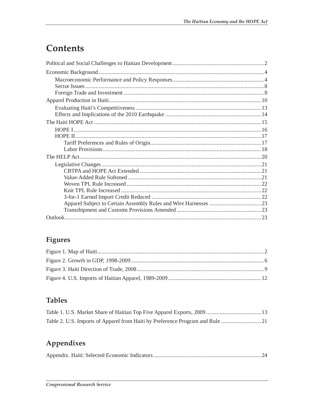# Contents

## Figures

### **Tables**

| Table 2. U.S. Imports of Apparel from Haiti by Preference Program and Rule |  |
|----------------------------------------------------------------------------|--|

## Appendixes

|--|--|--|--|--|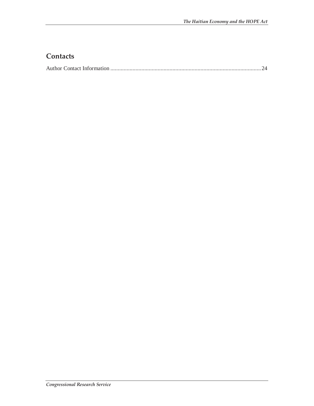### **Contacts**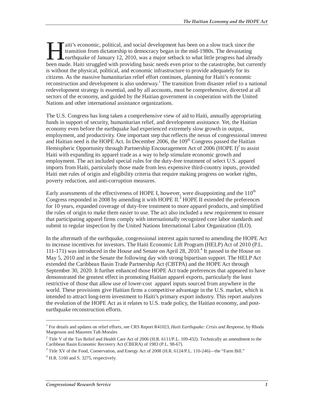aiti's economic, political, and social development has been on a slow track since the transition from dictatorship to democracy began in the mid-1980s. The devastating earthquake of January 12, 2010, was a major setback to what little progress had already aiti's economic, political, and social development has been on a slow track since the transition from dictatorship to democracy began in the mid-1980s. The devastating earthquake of January 12, 2010, was a major setback to is without the physical, political, and economic infrastructure to provide adequately for its citizens. As the massive humanitarian relief effort continues, planning for Haiti's economic reconstruction and development is also underway.<sup>1</sup> The transition from disaster relief to a national redevelopment strategy is essential, and by all accounts, must be comprehensive, directed at all sectors of the economy, and guided by the Haitian government in cooperation with the United Nations and other international assistance organizations.

The U.S. Congress has long taken a comprehensive view of aid to Haiti, annually appropriating funds in support of security, humanitarian relief, and development assistance. Yet, the Haitian economy even before the earthquake had experienced extremely slow growth in output, employment, and productivity. One important step that reflects the nexus of congressional interest and Haitian need is the HOPE Act. In December  $2006$ , the  $109<sup>th</sup>$  Congress passed the Haitian Hemispheric Opportunity through Partnership Encouragement Act of  $2006$  (HOPE I)<sup>2</sup> to assist Haiti with expanding its apparel trade as a way to help stimulate economic growth and employment. The act included special rules for the duty-free treatment of select U.S. apparel imports from Haiti, particularly those made from less expensive third-country inputs, provided Haiti met rules of origin and eligibility criteria that require making progress on worker rights, poverty reduction, and anti-corruption measures.

Early assessments of the effectiveness of HOPE I, however, were disappointing and the  $110<sup>th</sup>$ Congress responded in 2008 by amending it with HOPE II.<sup>3</sup> HOPE II extended the preferences for 10 years, expanded coverage of duty-free treatment to more apparel products, and simplified the rules of origin to make them easier to use. The act also included a new requirement to ensure that participating apparel firms comply with internationally recognized core labor standards and submit to regular inspection by the United Nations International Labor Organization (ILO).

In the aftermath of the earthquake, congressional interest again turned to amending the HOPE Act to increase incentives for investors. The Haiti Economic Lift Program (HELP) Act of 2010 (P.L. 111-171) was introduced in the House and Senate on April 28, 2010.<sup>4</sup> It passed in the House on May 5, 2010 and in the Senate the following day with strong bipartisan support. The HELP Act extended the Caribbean Basin Trade Partnership Act (CBTPA) and the HOPE Act through September 30, 2020. It further enhanced those HOPE Act trade preferences that appeared to have demonstrated the greatest effect in promoting Haitian apparel exports, particularly the least restrictive of those that allow use of lower-cost apparel inputs sourced from anywhere in the world. These provisions give Haitian firms a competitive advantage in the U.S. market, which is intended to attract long-term investment to Haiti's primary export industry. This report analyzes the evolution of the HOPE Act as it relates to U.S. trade policy, the Haitian economy, and postearthquake reconstruction efforts.

<u>.</u>

<sup>&</sup>lt;sup>1</sup> For details and updates on relief efforts, see CRS Report R41023, *Haiti Earthquake: Crisis and Response*, by Rhoda Margesson and Maureen Taft-Morales

<sup>&</sup>lt;sup>2</sup> Title V of the Tax Relief and Health Care Act of 2006 (H.R. 6111/P.L. 109-432). Technically an amendment to the Caribbean Basin Economic Recovery Act (CBERA) of 1983 (P.L. 98-67).

<sup>&</sup>lt;sup>3</sup> Title XV of the Food, Conservation, and Energy Act of 2008 (H.R. 6124/P.L. 110-246)—the "Farm Bill."

<sup>&</sup>lt;sup>4</sup> H.R. 5160 and S. 3275, respectively.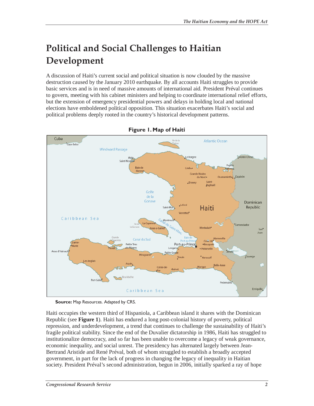# **Political and Social Challenges to Haitian Development**

A discussion of Haiti's current social and political situation is now clouded by the massive destruction caused by the January 2010 earthquake. By all accounts Haiti struggles to provide basic services and is in need of massive amounts of international aid. President Préval continues to govern, meeting with his cabinet ministers and helping to coordinate international relief efforts, but the extension of emergency presidential powers and delays in holding local and national elections have emboldened political opposition. This situation exacerbates Haiti's social and political problems deeply rooted in the country's historical development patterns.



**Figure 1. Map of Haiti** 

**Source:** Map Resources. Adapted by CRS.

Haiti occupies the western third of Hispaniola, a Caribbean island it shares with the Dominican Republic (see **Figure 1**). Haiti has endured a long post-colonial history of poverty, political repression, and underdevelopment, a trend that continues to challenge the sustainability of Haiti's fragile political stability. Since the end of the Duvalier dictatorship in 1986, Haiti has struggled to institutionalize democracy, and so far has been unable to overcome a legacy of weak governance, economic inequality, and social unrest. The presidency has alternated largely between Jean-Bertrand Aristide and René Préval, both of whom struggled to establish a broadly accepted government, in part for the lack of progress in changing the legacy of inequality in Haitian society. President Préval's second administration, begun in 2006, initially sparked a ray of hope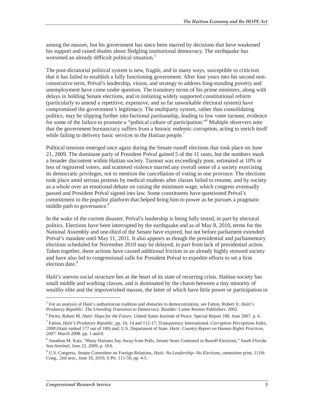among the masses, but his government has since been marred by decisions that have weakened his support and raised doubts about fledgling institutional democracy. The earthquake has worsened an already difficult political situation.<sup>5</sup>

The post-dictatorial political system is new, fragile, and in many ways, susceptible to criticism that it has failed to establish a fully functioning government. After four years into his second nonconsecutive term, Préval's leadership, vision, and strategy to address long-standing poverty and unemployment have come under question. The transitory terms of his prime ministers, along with delays in holding Senate elections, and in initiating widely supported constitutional reform (particularly to amend a repetitive, expensive, and so far unworkable electoral system) have compromised the government's legitimacy. The multiparty system, rather than consolidating politics, may be slipping further into factional partisanship, leading to low voter turnout, evidence for some of the failure to promote a "political culture of participation."<sup>6</sup> Multiple observers note that the government bureaucracy suffers from a historic endemic corruption, acting to enrich itself while failing to delivery basic services to the Haitian people.<sup>7</sup>

Political tensions emerged once again during the Senate runoff elections that took place on June 21, 2009. The dominant party of President Préval gained 5 of the 11 seats, but the numbers mask a broader discontent within Haitian society. Turnout was exceedingly poor, estimated at 10% or less of registered voters, and scattered violence marred any overall sense of a society exercising its democratic privileges, not to mention the cancellation of voting in one province. The elections took place amid serious protests by medical students after classes failed to resume, and by society as a whole over an emotional debate on raising the minimum wage, which congress eventually passed and President Préval signed into law. Some constituents have questioned Préval's commitment to the populist platform that helped bring him to power as he pursues a pragmatic middle path to governance.<sup>8</sup>

In the wake of the current disaster, Préval's leadership is being fully tested, in part by electoral politics. Elections have been interrupted by the earthquake and as of May 8, 2010, terms for the National Assembly and one-third of the Senate have expired, but not before parliament extended Préval's mandate until May 11, 2011. It also appears as though the presidential and parliamentary elections scheduled for November 2010 may be delayed, in part from lack of presidential action. Taken together, these actions have caused additional friction in an already highly stressed society and have also led to congressional calls for President Préval to expedite efforts to set a firm election date.<sup>9</sup>

Haiti's uneven social structure lies at the heart of its state of recurring crisis. Haitian society has small middle and working classes, and is dominated by the chasm between a tiny minority of wealthy elite and the impoverished masses, the latter of which have little power or participation in

<sup>5</sup> For an analysis of Haiti's authoritarian tradition and obstacles to democratization, see Fatton, Robert Jr. *Haiti's Predatory Republic: The Unending Transition to Democracy*. Boulder: Lynne Reinier Publishers. 2002. 6

<sup>&</sup>lt;sup>6</sup> Perito, Robert M. *Haiti: Hope for the Future*. United States Institute of Peace. Special Report 188. June 2007. p. 6.

<sup>7</sup> Fatton, *Haiti's Predatory Republic*, pp. 10, 14 and 112-17; Transparency International. *Corruption Perceptions Index, 2008* (Haiti ranked 177 out of 180) and; U.S. Department of State. *Haiti: Country Report on Human Rights Practices, 2007*. March 2008. pp. 1 and 8.

<sup>8</sup> Jonathan M. Katz, "Many Haitians Say Away from Polls, Senate Seats Contested in Runoff Elections," *South Florida Sun-Sentinel*, June 22, 2009, p. 10A.

<sup>9</sup> U.S. Congress, Senate Committee on Foreign Relations, *Haiti: No Leadership--No Elections*, committee print, 111th Cong., 2nd sess., June 10, 2010, S.Prt. 111-50, pp. 4-5.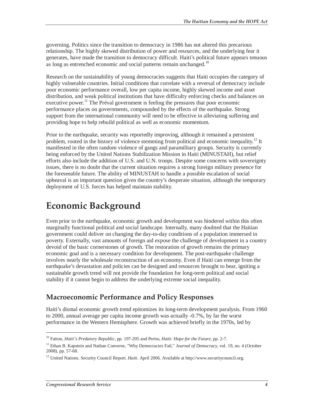governing. Politics since the transition to democracy in 1986 has not altered this precarious relationship. The highly skewed distribution of power and resources, and the underlying fear it generates, have made the transition to democracy difficult. Haiti's political future appears tenuous as long as entrenched economic and social patterns remain unchanged.<sup>10</sup>

Research on the sustainability of young democracies suggests that Haiti occupies the category of highly vulnerable countries. Initial conditions that correlate with a reversal of democracy include poor economic performance overall, low per capita income, highly skewed income and asset distribution, and weak political institutions that have difficulty enforcing checks and balances on executive power.<sup>11</sup> The Préval government is feeling the pressures that poor economic performance places on governments, compounded by the effects of the earthquake. Strong support from the international community will need to be effective in alleviating suffering and providing hope to help rebuild political as well as economic momentum.

Prior to the earthquake, security was reportedly improving, although it remained a persistent problem, rooted in the history of violence stemming from political and economic inequality.<sup>12</sup> It manifested in the often random violence of gangs and paramilitary groups. Security is currently being enforced by the United Nations Stabilization Mission in Haiti (MINUSTAH), but relief efforts also include the addition of U.S. and U.N. troops. Despite some concerns with sovereignty issues, there is no doubt that the current situation requires a strong foreign military presence for the foreseeable future. The ability of MINUSTAH to handle a possible escalation of social upheaval is an important question given the country's desperate situation, although the temporary deployment of U.S. forces has helped maintain stability.

## **Economic Background**

Even prior to the earthquake, economic growth and development was hindered within this often marginally functional political and social landscape. Internally, many doubted that the Haitian government could deliver on changing the day-to-day conditions of a population immersed in poverty. Externally, vast amounts of foreign aid expose the challenge of development in a country devoid of the basic cornerstones of growth. The restoration of growth remains the primary economic goal and is a necessary condition for development. The post-earthquake challenge involves nearly the wholesale reconstruction of an economy. Even if Haiti can emerge from the earthquake's devastation and policies can be designed and resources brought to bear, igniting a sustainable growth trend will not provide the foundation for long-term political and social stability if it cannot begin to address the underlying extreme social inequality.

### **Macroeconomic Performance and Policy Responses**

Haiti's dismal economic growth trend epitomizes its long-term development paralysis. From 1960 to 2000, annual average per capita income growth was actually -0.7%, by far the worst performance in the Western Hemisphere. Growth was achieved briefly in the 1970s, led by

<sup>10</sup> Fatton, *Haiti's Predatory Republic*, pp. 197-205 and Perito, *Haiti: Hope for the Future*, pp. 2-7.

<sup>&</sup>lt;sup>11</sup> Ethan B. Kapstein and Nathan Converse, "Why Democracies Fail," *Journal of Democracy*, vol. 19, no. 4 (October 2008), pp. 57-68.

<sup>&</sup>lt;sup>12</sup> United Nations. Security Council Report. *Haiti*. April 2006. Available at http://www.securitycouncil.org.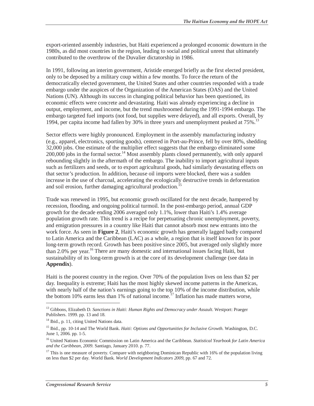export-oriented assembly industries, but Haiti experienced a prolonged economic downturn in the 1980s, as did most countries in the region, leading to social and political unrest that ultimately contributed to the overthrow of the Duvalier dictatorship in 1986.

In 1991, following an interim government, Aristide emerged briefly as the first elected president, only to be deposed by a military coup within a few months. To force the return of the democratically elected government, the United States and other countries responded with a trade embargo under the auspices of the Organization of the American States (OAS) and the United Nations (UN). Although its success in changing political behavior has been questioned, its economic effects were concrete and devastating. Haiti was already experiencing a decline in output, employment, and income, but the trend mushroomed during the 1991-1994 embargo. The embargo targeted fuel imports (not food, but supplies were delayed), and all exports. Overall, by 1994, per capita income had fallen by 30% in three years and unemployment peaked at 75%.13

Sector effects were highly pronounced. Employment in the assembly manufacturing industry (e.g., apparel, electronics, sporting goods), centered in Port-au-Prince, fell by over 80%, shedding 32,000 jobs. One estimate of the multiplier effect suggests that the embargo eliminated some  $200,000$  jobs in the formal sector.<sup>14</sup> Most assembly plants closed permanently, with only apparel rebounding slightly in the aftermath of the embargo. The inability to import agricultural inputs such as fertilizers and seeds, or to export agricultural goods, had similarly devastating effects on that sector's production. In addition, because oil imports were blocked, there was a sudden increase in the use of charcoal, accelerating the ecologically destructive trends in deforestation and soil erosion, further damaging agricultural production.<sup>15</sup>

Trade was renewed in 1995, but economic growth oscillated for the next decade, hampered by recession, flooding, and ongoing political turmoil. In the post-embargo period, annual GDP growth for the decade ending 2006 averaged only 1.1%, lower than Haiti's 1.4% average population growth rate. This trend is a recipe for perpetuating chronic unemployment, poverty, and emigration pressures in a country like Haiti that cannot absorb most new entrants into the work force. As seen in **Figure 2**, Haiti's economic growth has generally lagged badly compared to Latin America and the Caribbean (LAC) as a whole, a region that is itself known for its poor long-term growth record. Growth has been positive since 2005, but averaged only slightly more than 2.0% per year.<sup>16</sup> There are many domestic and international issues facing Haiti, but sustainability of its long-term growth is at the core of its development challenge (see data in **Appendix**).

Haiti is the poorest country in the region. Over 70% of the population lives on less than \$2 per day. Inequality is extreme; Haiti has the most highly skewed income patterns in the Americas, with nearly half of the nation's earnings going to the top 10% of the income distribution, while the bottom 10% earns less than 1% of national income.<sup>17</sup> Inflation has made matters worse,

<u>.</u>

<sup>13</sup> Gibbons, Elizabeth D. *Sanctions in Haiti: Human Rights and Democracy under Assault*. Westport: Praeger Publishers. 1999. pp. 13 and 18.

<sup>&</sup>lt;sup>14</sup> Ibid., p. 11, citing United Nations data.

<sup>15</sup> Ibid., pp. 10-14 and The World Bank. *Haiti: Options and Opportunities for Inclusive Growth*. Washington, D.C. June 1, 2006. pp. 1-5.

<sup>16</sup> United Nations Economic Commission on Latin America and the Caribbean. *Statistical Yearbook for Latin America and the Caribbean, 2009*. Santiago, January 2010. p. 77.

<sup>&</sup>lt;sup>17</sup> This is one measure of poverty. Compare with neighboring Dominican Republic with 16% of the population living on less than \$2 per day. World Bank. *World Development Indicators 2009*, pp. 67 and 72.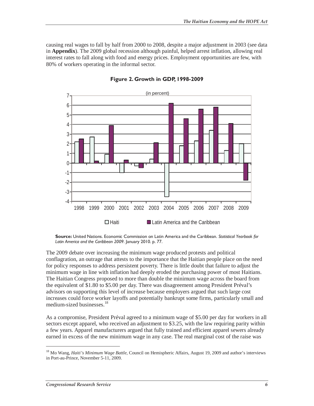causing real wages to fall by half from 2000 to 2008, despite a major adjustment in 2003 (see data in **Appendix**). The 2009 global recession although painful, helped arrest inflation, allowing real interest rates to fall along with food and energy prices. Employment opportunities are few, with 80% of workers operating in the informal sector.



**Figure 2. Growth in GDP, 1998-2009** 

**Source:** United Nations. Economic Commission on Latin America and the Caribbean. *Statistical Yearbook for Latin America and the Caribbean 2009*. January 2010. p. 77.

The 2009 debate over increasing the minimum wage produced protests and political conflagration, an outrage that attests to the importance that the Haitian people place on the need for policy responses to address persistent poverty. There is little doubt that failure to adjust the minimum wage in line with inflation had deeply eroded the purchasing power of most Haitians. The Haitian Congress proposed to more than double the minimum wage across the board from the equivalent of \$1.80 to \$5.00 per day. There was disagreement among President Préval's advisors on supporting this level of increase because employers argued that such large cost increases could force worker layoffs and potentially bankrupt some firms, particularly small and medium-sized businesses.<sup>18</sup>

As a compromise, President Préval agreed to a minimum wage of \$5.00 per day for workers in all sectors except apparel, who received an adjustment to \$3.25, with the law requiring parity within a few years. Apparel manufacturers argued that fully trained and efficient apparel sewers already earned in excess of the new minimum wage in any case. The real marginal cost of the raise was

<sup>18</sup> Mo Wang, *Haiti's Minimum Wage Battle*, Council on Hemispheric Affairs, August 19, 2009 and author's interviews in Port-au-Prince, November 5-11, 2009.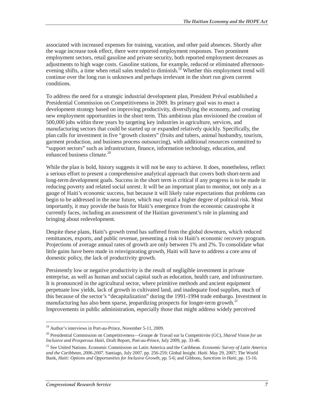associated with increased expenses for training, vacation, and other paid absences. Shortly after the wage increase took effect, there were reported employment responses. Two prominent employment sectors, retail gasoline and private security, both reported employment decreases as adjustments to high wage costs. Gasoline stations, for example, reduced or eliminated afternoonevening shifts, a time when retail sales tended to diminish.<sup>19</sup> Whether this employment trend will continue over the long run is unknown and perhaps irrelevant in the short run given current conditions.

To address the need for a strategic industrial development plan, President Préval established a Presidential Commission on Competitiveness in 2009. Its primary goal was to enact a development strategy based on improving productivity, diversifying the economy, and creating new employment opportunities in the short term. This ambitious plan envisioned the creation of 500,000 jobs within three years by targeting key industries in agriculture, services, and manufacturing sectors that could be started up or expanded relatively quickly. Specifically, the plan calls for investment in five "growth clusters" (fruits and tubers, animal husbandry, tourism, garment production, and business process outsourcing), with additional resources committed to "support sectors" such as infrastructure, finance, information technology, education, and enhanced business climate.<sup>20</sup>

While the plan is bold, history suggests it will not be easy to achieve. It does, nonetheless, reflect a serious effort to present a comprehensive analytical approach that covers both short-term and long-term development goals. Success in the short term is critical if any progress is to be made in reducing poverty and related social unrest. It will be an important plan to monitor, not only as a gauge of Haiti's economic success, but because it will likely raise expectations that problems can begin to be addressed in the near future, which may entail a higher degree of political risk. Most importantly, it may provide the basis for Haiti's emergence from the economic catastrophe it currently faces, including an assessment of the Haitian government's role in planning and bringing about redevelopment.

Despite these plans, Haiti's growth trend has suffered from the global downturn, which reduced remittances, exports, and public revenue, presenting a risk to Haiti's economic recovery program. Projections of average annual rates of growth are only between 1% and 2%. To consolidate what little gains have been made in reinvigorating growth, Haiti will have to address a core area of domestic policy, the lack of productivity growth.

Persistently low or negative productivity is the result of negligible investment in private enterprise, as well as human and social capital such as education, health care, and infrastructure. It is pronounced in the agricultural sector, where primitive methods and ancient equipment perpetuate low yields, lack of growth in cultivated land, and inadequate food supplies, much of this because of the sector's "decapitalization" during the 1991-1994 trade embargo. Investment in manufacturing has also been sparse, jeopardizing prospects for longer-term growth.<sup>21</sup> Improvements in public administration, especially those that might address widely perceived

<sup>19</sup> Author's interviews in Port-au-Prince, November 5-11, 2009.

<sup>20</sup> Presidential Commission on Competitiveness—Groupe de Travail sur la Competitivite (GC), *Shared Vision for an Inclusive and Prosperous Haiti*, Draft Report, Port-au-Prince, July 2009, pp. 33-46.

<sup>21</sup> See United Nations. Economic Commission on Latin America and the Caribbean. *Economic Survey of Latin America and the Caribbean, 2006-2007*. Santiago, July 2007. pp. 256-259; Global Insight. *Haiti*. May 29, 2007; The World Bank, *Haiti: Options and Opportunities for Inclusive Growth*, pp. 5-6; and Gibbons, *Sanctions in Haiti*, pp. 15-16.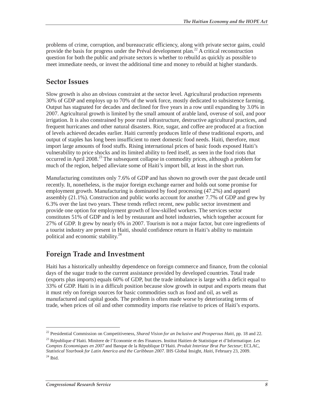problems of crime, corruption, and bureaucratic efficiency, along with private sector gains, could provide the basis for progress under the Préval development plan.<sup>22</sup> A critical reconstruction question for both the public and private sectors is whether to rebuild as quickly as possible to meet immediate needs, or invest the additional time and money to rebuild at higher standards.

#### **Sector Issues**

Slow growth is also an obvious constraint at the sector level. Agricultural production represents 30% of GDP and employs up to 70% of the work force, mostly dedicated to subsistence farming. Output has stagnated for decades and declined for five years in a row until expanding by 3.0% in 2007. Agricultural growth is limited by the small amount of arable land, overuse of soil, and poor irrigation. It is also constrained by poor rural infrastructure, destructive agricultural practices, and frequent hurricanes and other natural disasters. Rice, sugar, and coffee are produced at a fraction of levels achieved decades earlier. Haiti currently produces little of these traditional exports, and output of staples has long been insufficient to meet domestic food needs. Haiti, therefore, must import large amounts of food stuffs. Rising international prices of basic foods exposed Haiti's vulnerability to price shocks and its limited ability to feed itself, as seen in the food riots that occurred in April 2008.<sup>23</sup> The subsequent collapse in commodity prices, although a problem for much of the region, helped alleviate some of Haiti's import bill, at least in the short run.

Manufacturing constitutes only 7.6% of GDP and has shown no growth over the past decade until recently. It, nonetheless, is the major foreign exchange earner and holds out some promise for employment growth. Manufacturing is dominated by food processing (47.2%) and apparel assembly (21.1%). Construction and public works account for another 7.7% of GDP and grew by 6.3% over the last two years. These trends reflect recent, new public sector investment and provide one option for employment growth of low-skilled workers. The services sector constitutes 51% of GDP and is led by restaurant and hotel industries, which together account for 27% of GDP. It grew by nearly 6% in 2007. Tourism is not a major factor, but core ingredients of a tourist industry are present in Haiti, should confidence return in Haiti's ability to maintain political and economic stability.<sup>24</sup>

### **Foreign Trade and Investment**

Haiti has a historically unhealthy dependence on foreign commerce and finance, from the colonial days of the sugar trade to the current assistance provided by developed countries. Total trade (exports plus imports) equals 60% of GDP, but the trade imbalance is large with a deficit equal to 33% of GDP. Haiti is in a difficult position because slow growth in output and exports means that it must rely on foreign sources for basic commodities such as food and oil, as well as manufactured and capital goods. The problem is often made worse by deteriorating terms of trade, when prices of oil and other commodity imports rise relative to prices of Haiti's exports.

<sup>22</sup> Presidential Commission on Competitiveness, *Shared Vision for an Inclusive and Prosperous Haiti*, pp. 18 and 22.

<sup>23</sup> République d'Haiti. Minitere de l'Economie et des Finances. Institut Haitien de Statistique et d'Informatique. *Les Comptes Economiques en 2007* and Banque de la République D'Haiti. *Produit Interieur Brut Par Secteur*; ECLAC, *Statistical Yearbook for Latin America and the Caribbean 2007*. IHS Global Insight, *Haiti*, February 23, 2009.  $^{24}$  Ibid.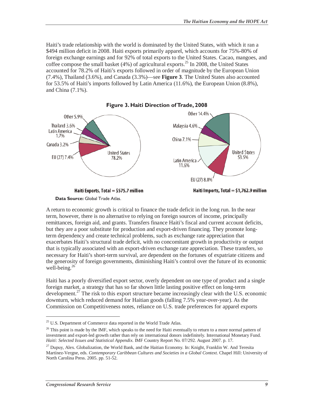Haiti's trade relationship with the world is dominated by the United States, with which it ran a \$494 million deficit in 2008. Haiti exports primarily apparel, which accounts for 75%-80% of foreign exchange earnings and for 92% of total exports to the United States. Cacao, mangoes, and coffee compose the small basket (4%) of agricultural exports.<sup>25</sup> In 2008, the United States accounted for 78.2% of Haiti's exports followed in order of magnitude by the European Union (7.4%), Thailand (3.6%), and Canada (3.3%)—see **Figure 3**. The United States also accounted for 53.5% of Haiti's imports followed by Latin America (11.6%), the European Union (8.8%), and China (7.1%).





A return to economic growth is critical to finance the trade deficit in the long run. In the near term, however, there is no alternative to relying on foreign sources of income, principally remittances, foreign aid, and grants. Transfers finance Haiti's fiscal and current account deficits, but they are a poor substitute for production and export-driven financing. They promote longterm dependency and create technical problems, such as exchange rate appreciation that exacerbates Haiti's structural trade deficit, with no concomitant growth in productivity or output that is typically associated with an export-driven exchange rate appreciation. These transfers, so necessary for Haiti's short-term survival, are dependent on the fortunes of expatriate citizens and the generosity of foreign governments, diminishing Haiti's control over the future of its economic well-being.<sup>26</sup>

Haiti has a poorly diversified export sector, overly dependent on one type of product and a single foreign market, a strategy that has so far shown little lasting positive effect on long-term development.<sup>27</sup> The risk to this export structure became increasingly clear with the U.S. economic downturn, which reduced demand for Haitian goods (falling 7.5% year-over-year). As the Commission on Competitiveness notes, reliance on U.S. trade preferences for apparel exports

<u>.</u>

<sup>&</sup>lt;sup>25</sup> U.S. Department of Commerce data reported in the World Trade Atlas.

<sup>&</sup>lt;sup>26</sup> This point is made by the IMF, which speaks to the need for Haiti eventually to return to a more normal pattern of investment and export-led growth rather than rely on international donors indefinitely. International Monetary Fund. *Haiti: Selected Issues and Statistical Appendix*. IMF Country Report No. 07/292. August 2007. p. 17.

<sup>&</sup>lt;sup>27</sup> Dupuy, Alex. Globalization, the World Bank, and the Haitian Economy. In: Knight, Franklin W. And Teresita Martínez-Vergne, eds. *Contemporary Caribbean Cultures and Societies in a Global Context*. Chapel Hill: University of North Carolina Press. 2005. pp. 51-52.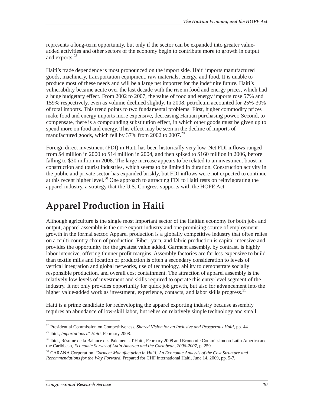represents a long-term opportunity, but only if the sector can be expanded into greater valueadded activities and other sectors of the economy begin to contribute more to growth in output and exports.<sup>28</sup>

Haiti's trade dependence is most pronounced on the import side. Haiti imports manufactured goods, machinery, transportation equipment, raw materials, energy, and food. It is unable to produce most of these needs and will be a large net importer for the indefinite future. Haiti's vulnerability became acute over the last decade with the rise in food and energy prices, which had a huge budgetary effect. From 2002 to 2007, the value of food and energy imports rose 57% and 159% respectively, even as volume declined slightly. In 2008, petroleum accounted for 25%-30% of total imports. This trend points to two fundamental problems. First, higher commodity prices make food and energy imports more expensive, decreasing Haitian purchasing power. Second, to compensate, there is a compounding substitution effect, in which other goods must be given up to spend more on food and energy. This effect may be seen in the decline of imports of manufactured goods, which fell by 37% from 2002 to 2007.<sup>29</sup>

Foreign direct investment (FDI) in Haiti has been historically very low. Net FDI inflows ranged from \$4 million in 2000 to \$14 million in 2004, and then spiked to \$160 million in 2006, before falling to \$30 million in 2008. The large increase appears to be related to an investment boost in construction and tourist industries, which seems to be limited in duration. Construction activity in the public and private sector has expanded briskly, but FDI inflows were not expected to continue at this recent higher level.<sup>30</sup> One approach to attracting FDI to Haiti rests on reinvigorating the apparel industry, a strategy that the U.S. Congress supports with the HOPE Act.

## **Apparel Production in Haiti**

Although agriculture is the single most important sector of the Haitian economy for both jobs and output, apparel assembly is the core export industry and one promising source of employment growth in the formal sector. Apparel production is a globally competitive industry that often relies on a multi-country chain of production. Fiber, yarn, and fabric production is capital intensive and provides the opportunity for the greatest value added. Garment assembly, by contrast, is highly labor intensive, offering thinner profit margins. Assembly factories are far less expensive to build than textile mills and location of production is often a secondary consideration to levels of vertical integration and global networks, use of technology, ability to demonstrate socially responsible production, and overall cost containment. The attraction of apparel assembly is the relatively low levels of investment and skills required to operate this entry-level segment of the industry. It not only provides opportunity for quick job growth, but also for advancement into the higher value-added work as investment, experience, contacts, and labor skills progress.<sup>31</sup>

Haiti is a prime candidate for redeveloping the apparel exporting industry because assembly requires an abundance of low-skill labor, but relies on relatively simple technology and small

<u>.</u>

<sup>28</sup> Presidential Commission on Competitiveness, *Shared Vision for an Inclusive and Prosperous Haiti*, pp. 44. 29 Ibid., *Importations d' Haiti*, February 2008.

<sup>&</sup>lt;sup>30</sup> Ibid., Résumé de la Balance des Paiements d'Haiti, February 2008 and Economic Commission on Latin America and the Caribbean, *Economic Survey of Latin America and the Caribbean, 2006-2007,* p. 259.

<sup>31</sup> CARANA Corporation, *Garment Manufacturing in Haiti: An Economic Analysis of the Cost Structure and Recommendations for the Way Forward*, Prepared for CHF International Haiti, June 14, 2009, pp. 5-7.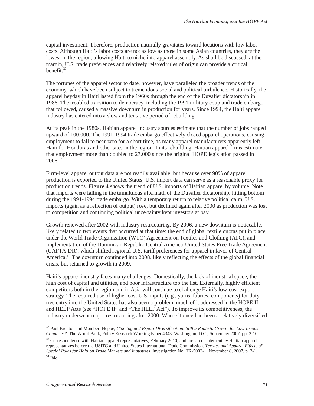capital investment. Therefore, production naturally gravitates toward locations with low labor costs. Although Haiti's labor costs are not as low as those in some Asian countries, they are the lowest in the region, allowing Haiti to niche into apparel assembly. As shall be discussed, at the margin, U.S. trade preferences and relatively relaxed rules of origin can provide a critical benefit. $32$ 

The fortunes of the apparel sector to date, however, have paralleled the broader trends of the economy, which have been subject to tremendous social and political turbulence. Historically, the apparel heyday in Haiti lasted from the 1960s through the end of the Duvalier dictatorship in 1986. The troubled transition to democracy, including the 1991 military coup and trade embargo that followed, caused a massive downturn in production for years. Since 1994, the Haiti apparel industry has entered into a slow and tentative period of rebuilding.

At its peak in the 1980s, Haitian apparel industry sources estimate that the number of jobs ranged upward of 100,000. The 1991-1994 trade embargo effectively closed apparel operations, causing employment to fall to near zero for a short time, as many apparel manufacturers apparently left Haiti for Honduras and other sites in the region. In its rebuilding, Haitian apparel firms estimate that employment more than doubled to 27,000 since the original HOPE legislation passed in  $2006.<sup>33</sup>$ 

Firm-level apparel output data are not readily available, but because over 90% of apparel production is exported to the United States, U.S. import data can serve as a reasonable proxy for production trends. **Figure 4** shows the trend of U.S. imports of Haitian apparel by volume. Note that imports were falling in the tumultuous aftermath of the Duvalier dictatorship, hitting bottom during the 1991-1994 trade embargo. With a temporary return to relative political calm, U.S. imports (again as a reflection of output) rose, but declined again after 2000 as production was lost to competition and continuing political uncertainty kept investors at bay.

Growth renewed after 2002 with industry restructuring. By 2006, a new downturn is noticeable, likely related to two events that occurred at that time: the end of global textile quotas put in place under the World Trade Organization (WTO) Agreement on Textiles and Clothing (ATC), and implementation of the Dominican Republic-Central America-United States Free Trade Agreement (CAFTA-DR), which shifted regional U.S. tariff preferences for apparel in favor of Central America.<sup>34</sup> The downturn continued into 2008, likely reflecting the effects of the global financial crisis, but returned to growth in 2009.

Haiti's apparel industry faces many challenges. Domestically, the lack of industrial space, the high cost of capital and utilities, and poor infrastructure top the list. Externally, highly efficient competitors both in the region and in Asia will continue to challenge Haiti's low-cost export strategy. The required use of higher-cost U.S. inputs (e.g., yarns, fabrics, components) for dutytree entry into the United States has also been a problem, much of it addressed in the HOPE II and HELP Acts (see "HOPE II" and "The HELP Act"). To improve its competitiveness, the industry underwent major restructuring after 2000. Where it once had been a relatively diversified

<sup>32</sup> Paul Brenton and Mombert Hoppe, *Clothing and Export Diversification: Still a Route to Growth for Low-Income Countries?*, The World Bank, Policy Research Working Paper 4343, Washington, D.C., September 2007, pp. 2-10.

<sup>&</sup>lt;sup>33</sup> Correspondence with Haitian apparel representatives, February 2010, and prepared statement by Haitian apparel representatives before the USITC and United States International Trade Commission. *Textiles and Apparel Effects of Special Rules for Haiti on Trade Markets and Industries*. Investigation No. TR-5003-1. November 8, 2007. p. 2-1.  $34$  Ibid.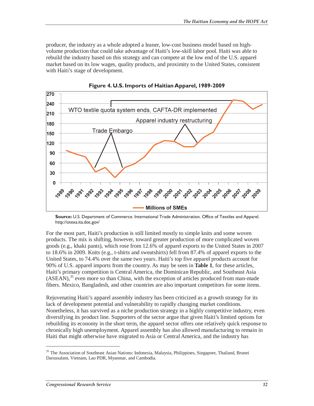producer, the industry as a whole adopted a leaner, low-cost business model based on highvolume production that could take advantage of Haiti's low-skill labor pool. Haiti was able to rebuild the industry based on this strategy and can compete at the low end of the U.S. apparel market based on its low wages, quality products, and proximity to the United States, consistent with Haiti's stage of development.





**Source:** U.S. Department of Commerce. International Trade Administration. Office of Textiles and Apparel. http://otexa.ita.doc.gov/

For the most part, Haiti's production is still limited mostly to simple knits and some woven products. The mix is shifting, however, toward greater production of more complicated woven goods (e.g., khaki pants), which rose from 12.6% of apparel exports to the United States in 2007 to 18.6% in 2009. Knits (e.g., t-shirts and sweatshirts) fell from 87.4% of apparel exports to the United States, to 74.4% over the same two years. Haiti's top five apparel products account for 90% of U.S. apparel imports from the country. As may be seen in **Table 1**, for these articles, Haiti's primary competition is Central America, the Dominican Republic, and Southeast Asia  $(ASEAN)$ ,<sup>35</sup> even more so than China, with the exception of articles produced from man-made fibers. Mexico, Bangladesh, and other countries are also important competitors for some items.

Rejuvenating Haiti's apparel assembly industry has been criticized as a growth strategy for its lack of development potential and vulnerability to rapidly changing market conditions. Nonetheless, it has survived as a niche production strategy in a highly competitive industry, even diversifying its product line. Supporters of the sector argue that given Haiti's limited options for rebuilding its economy in the short term, the apparel sector offers one relatively quick response to chronically high unemployment. Apparel assembly has also allowed manufacturing to remain in Haiti that might otherwise have migrated to Asia or Central America, and the industry has

<sup>&</sup>lt;sup>35</sup> The Association of Southeast Asian Nations: Indonesia, Malaysia, Philippines, Singapore, Thailand, Brunei Darussalam, Vietnam, Lao PDR, Myanmar, and Cambodia.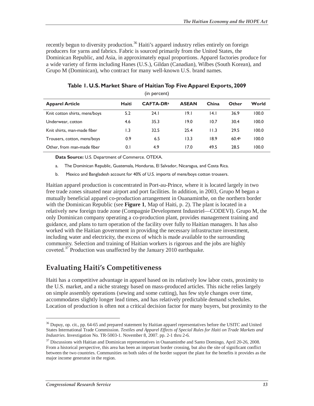recently begun to diversity production.<sup>36</sup> Haiti's apparel industry relies entirely on foreign producers for yarns and fabrics. Fabric is sourced primarily from the United States, the Dominican Republic, and Asia, in approximately equal proportions. Apparel factories produce for a wide variety of firms including Hanes (U.S.), Gildan (Canadian), Wilbes (South Korean), and Grupo M (Dominican), who contract for many well-known U.S. brand names.

| ן ווון טכו ככוונן             |       |                       |              |       |                   |       |  |  |
|-------------------------------|-------|-----------------------|--------------|-------|-------------------|-------|--|--|
| <b>Apparel Article</b>        | Haiti | CAFTA-DR <sup>a</sup> | <b>ASEAN</b> | China | Other             | World |  |  |
| Knit cotton shirts, mens/boys | 5.2   | 24.1                  | 19.I         | 4.1   | 36.9              | 100.0 |  |  |
| Underwear, cotton             | 4.6   | 35.3                  | 19.0         | 10.7  | 30.4              | 100.0 |  |  |
| Knit shirts, man-made fiber   | I.3   | 32.5                  | 25.4         | 11.3  | 29.5              | 100.0 |  |  |
| Trousers, cotton, mens/boys   | 0.9   | 6.5                   | 13.3         | 18.9  | 60.4 <sup>b</sup> | 100.0 |  |  |
| Other, from man-made fiber    | 0.1   | 4.9                   | 17.0         | 49.5  | 28.5              | 100.0 |  |  |

**Table 1. U.S. Market Share of Haitian Top Five Apparel Exports, 2009**  (in percent)

**Data Source:** U.S. Department of Commerce. OTEXA.

- a. The Dominican Republic, Guatemala, Honduras, El Salvador, Nicaragua, and Costa Rica.
- b. Mexico and Bangladesh account for 40% of U.S. imports of mens/boys cotton trousers.

Haitian apparel production is concentrated in Port-au-Prince, where it is located largely in two free trade zones situated near airport and port facilities. In addition, in 2003, Grupo M began a mutually beneficial apparel co-production arrangement in Ouanaminthe, on the northern border with the Dominican Republic (see **Figure 1**, Map of Haiti, p. 2). The plant is located in a relatively new foreign trade zone (Compagnie Development Industriel—CODEVI). Grupo M, the only Dominican company operating a co-production plant, provides management training and guidance, and plans to turn operation of the facility over fully to Haitian managers. It has also worked with the Haitian government in providing the necessary infrastructure investment, including water and electricity, the excess of which is made available to the surrounding community. Selection and training of Haitian workers is rigorous and the jobs are highly coveted.<sup>37</sup> Production was unaffected by the January 2010 earthquake.

### **Evaluating Haiti's Competitiveness**

Haiti has a competitive advantage in apparel based on its relatively low labor costs, proximity to the U.S. market, and a niche strategy based on mass-produced articles. This niche relies largely on simple assembly operations (sewing and some cutting), has few style changes over time, accommodates slightly longer lead times, and has relatively predictable demand schedules. Location of production is often not a critical decision factor for many buyers, but proximity to the

<sup>&</sup>lt;sup>36</sup> Dupuy, op. cit., pp. 64-65 and prepared statement by Haitian apparel representatives before the USITC and United States International Trade Commission. *Textiles and Apparel Effects of Special Rules for Haiti on Trade Markets and Industries*. Investigation No. TR-5003-1. November 8, 2007. pp. 2-1 thru 2-6.

<sup>&</sup>lt;sup>37</sup> Discussions with Haitian and Dominican representatives in Ouanaminthe and Santo Domingo, April 20-26, 2008. From a historical perspective, this area has been an important border crossing, but also the site of significant conflict between the two countries. Communities on both sides of the border support the plant for the benefits it provides as the major income generator in the region.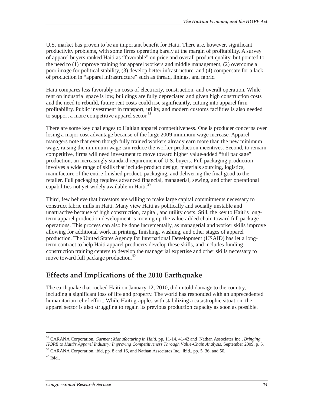U.S. market has proven to be an important benefit for Haiti. There are, however, significant productivity problems, with some firms operating barely at the margin of profitability. A survey of apparel buyers ranked Haiti as "favorable" on price and overall product quality, but pointed to the need to (1) improve training for apparel workers and middle management, (2) overcome a poor image for political stability, (3) develop better infrastructure, and (4) compensate for a lack of production in "apparel infrastructure" such as thread, linings, and fabric.

Haiti compares less favorably on costs of electricity, construction, and overall operation. While rent on industrial space is low, buildings are fully depreciated and given high construction costs and the need to rebuild, future rent costs could rise significantly, cutting into apparel firm profitability. Public investment in transport, utility, and modern customs facilities is also needed to support a more competitive apparel sector.<sup>38</sup>

There are some key challenges to Haitian apparel competitiveness. One is producer concerns over losing a major cost advantage because of the large 2009 minimum wage increase. Apparel managers note that even though fully trained workers already earn more than the new minimum wage, raising the minimum wage can reduce the worker production incentives. Second, to remain competitive, firms will need investment to move toward higher value-added "full package" production, an increasingly standard requirement of U.S. buyers. Full packaging production involves a wide range of skills that include product design, materials sourcing, logistics, manufacture of the entire finished product, packaging, and delivering the final good to the retailer. Full packaging requires advanced financial, managerial, sewing, and other operational capabilities not yet widely available in Haiti. $39$ 

Third, few believe that investors are willing to make large capital commitments necessary to construct fabric mills in Haiti. Many view Haiti as politically and socially unstable and unattractive because of high construction, capital, and utility costs. Still, the key to Haiti's longterm apparel production development is moving up the value-added chain toward full package operations. This process can also be done incrementally, as managerial and worker skills improve allowing for additional work in printing, finishing, washing, and other stages of apparel production. The United States Agency for International Development (USAID) has let a longterm contract to help Haiti apparel producers develop these skills, and includes funding construction training centers to develop the managerial expertise and other skills necessary to move toward full package production.<sup>40</sup>

### **Effects and Implications of the 2010 Earthquake**

The earthquake that rocked Haiti on January 12, 2010, did untold damage to the country, including a significant loss of life and property. The world has responded with an unprecedented humanitarian relief effort. While Haiti grapples with stabilizing a catastrophic situation, the apparel sector is also struggling to regain its previous production capacity as soon as possible.

<sup>38</sup> CARANA Corporation, *Garment Manufacturing in Haiti*, pp. 11-14, 41-42 and Nathan Associates Inc., *Bringing HOPE to Haiti's Apparel Industry: Improving Competitiveness Through Value-Chain Analysis*, September 2009, p. 5. 39 CARANA Corporation, ibid, pp. 8 and 16, and Nathan Associates Inc., ibid., pp. 5, 36, and 50.

 $40$  Ibid..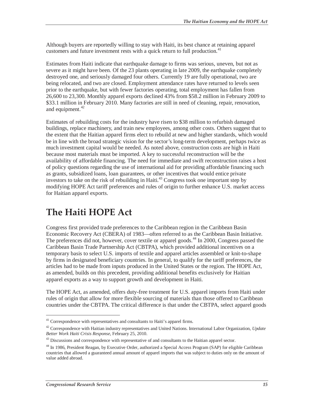Although buyers are reportedly willing to stay with Haiti, its best chance at retaining apparel customers and future investment rests with a quick return to full production.<sup>41</sup>

Estimates from Haiti indicate that earthquake damage to firms was serious, uneven, but not as severe as it might have been. Of the 23 plants operating in late 2009, the earthquake completely destroyed one, and seriously damaged four others. Currently 19 are fully operational, two are being relocated, and two are closed. Employment attendance rates have returned to levels seen prior to the earthquake, but with fewer factories operating, total employment has fallen from 26,600 to 23,300. Monthly apparel exports declined 43% from \$58.2 million in February 2009 to \$33.1 million in February 2010. Many factories are still in need of cleaning, repair, renovation, and equipment. $42$ 

Estimates of rebuilding costs for the industry have risen to \$38 million to refurbish damaged buildings, replace machinery, and train new employees, among other costs. Others suggest that to the extent that the Haitian apparel firms elect to rebuild at new and higher standards, which would be in line with the broad strategic vision for the sector's long-term development, perhaps twice as much investment capital would be needed. As noted above, construction costs are high in Haiti because most materials must be imported. A key to successful reconstruction will be the availability of affordable financing. The need for immediate and swift reconstruction raises a host of policy questions regarding the use of international aid for providing affordable financing such as grants, subsidized loans, loan guarantees, or other incentives that would entice private investors to take on the risk of rebuilding in Haiti.<sup>43</sup> Congress took one important step by modifying HOPE Act tariff preferences and rules of origin to further enhance U.S. market access for Haitian apparel exports.

## **The Haiti HOPE Act**

Congress first provided trade preferences to the Caribbean region in the Caribbean Basin Economic Recovery Act (CBERA) of 1983—often referred to as the Caribbean Basin Initiative. The preferences did not, however, cover textile or apparel goods.<sup>44</sup> In 2000, Congress passed the Caribbean Basin Trade Partnership Act (CBTPA), which provided additional incentives on a temporary basis to select U.S. imports of textile and apparel articles assembled or knit-to-shape by firms in designated beneficiary countries. In general, to qualify for the tariff preferences, the articles had to be made from inputs produced in the United States or the region. The HOPE Act, as amended, builds on this precedent, providing additional benefits exclusively for Haitian apparel exports as a way to support growth and development in Haiti.

The HOPE Act, as amended, offers duty-free treatment for U.S. apparel imports from Haiti under rules of origin that allow for more flexible sourcing of materials than those offered to Caribbean countries under the CBTPA. The critical difference is that under the CBTPA, select apparel goods

<sup>&</sup>lt;sup>41</sup> Correspondence with representatives and consultants to Haiti's apparel firms.

<sup>42</sup> Correspondence with Haitian industry representatives and United Nations. International Labor Organization, *Update Better Work Haiti Crisis Response*, February 25, 2010.

<sup>&</sup>lt;sup>43</sup> Discussions and correspondence with representative of and consultants to the Haitian apparel sector.

<sup>&</sup>lt;sup>44</sup> In 1986, President Reagan, by Executive Order, authorized a Special Access Program (SAP) for eligible Caribbean countries that allowed a guaranteed annual amount of apparel imports that was subject to duties only on the amount of value added abroad.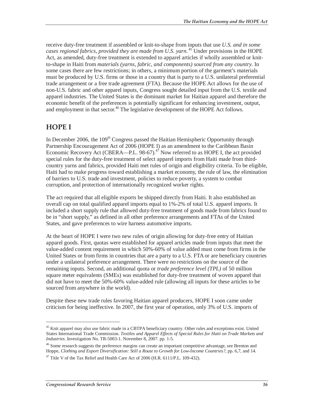receive duty-free treatment if assembled or knit-to-shape from inputs that use *U.S. and in some*  cases regional fabrics, provided they are made from U.S. yarn.<sup>45</sup> Under provisions in the HOPE Act, as amended, duty-free treatment is extended to apparel articles if wholly assembled or knitto-shape in Haiti from *materials (yarns, fabric, and components) sourced from any country*. In some cases there are few restrictions; in others, a minimum portion of the garment's materials must be produced by U.S. firms or those in a country that is party to a U.S. unilateral preferential trade arrangement or a free trade agreement (FTA). Because the HOPE Act allows for the use of non-U.S. fabric and other apparel inputs, Congress sought detailed input from the U.S. textile and apparel industries. The United States is the dominant market for Haitian apparel and therefore the economic benefit of the preferences is potentially significant for enhancing investment, output, and employment in that sector.<sup>46</sup> The legislative development of the HOPE Act follows.

### **HOPE I**

In December 2006, the  $109<sup>th</sup>$  Congress passed the Haitian Hemispheric Opportunity through Partnership Encouragement Act of 2006 (HOPE I) as an amendment to the Caribbean Basin Economic Recovery Act (CBERA—P.L. 98-67).<sup>47</sup> Now referred to as HOPE I, the act provided special rules for the duty-free treatment of select apparel imports from Haiti made from thirdcountry yarns and fabrics, provided Haiti met rules of origin and eligibility criteria. To be eligible, Haiti had to make progress toward establishing a market economy, the rule of law, the elimination of barriers to U.S. trade and investment, policies to reduce poverty, a system to combat corruption, and protection of internationally recognized worker rights.

The act required that all eligible exports be shipped directly from Haiti. It also established an overall cap on total qualified apparel imports equal to 1%-2% of total U.S. apparel imports. It included a short supply rule that allowed duty-free treatment of goods made from fabrics found to be in "short supply," as defined in all other preference arrangements and FTAs of the United States, and gave preferences to wire harness automotive imports.

At the heart of HOPE I were two new rules of origin allowing for duty-free entry of Haitian apparel goods. First, quotas were established for apparel articles made from inputs that meet the value-added content requirement in which 50%-60% of value added must come from firms in the United States or from firms in countries that are a party to a U.S. FTA or are beneficiary countries under a unilateral preference arrangement. There were no restrictions on the source of the remaining inputs. Second, an additional quota or *trade preference level (TPL)* of 50 million square meter equivalents (SMEs) was established for duty-free treatment of woven apparel that did not have to meet the 50%-60% value-added rule (allowing all inputs for these articles to be sourced from anywhere in the world).

Despite these new trade rules favoring Haitian apparel producers, HOPE I soon came under criticism for being ineffective. In 2007, the first year of operation, only 3% of U.S. imports of

<sup>&</sup>lt;sup>45</sup> Knit apparel may also use fabric made in a CBTPA beneficiary country. Other rules and exceptions exist. United States International Trade Commission. *Textiles and Apparel Effects of Special Rules for Haiti on Trade Markets and Industries*. Investigation No. TR-5003-1. November 8, 2007. pp. 1-5.

<sup>&</sup>lt;sup>46</sup> Some research suggests the preference margins can create an important competitive advantage, see Brenton and Hoppe, *Clothing and Export Diversification: Still a Route to Growth for Low-Income Countries?*, pp. 6,7, and 14.

<sup>&</sup>lt;sup>47</sup> Title V of the Tax Relief and Health Care Act of 2006 (H.R. 6111/P.L. 109-432).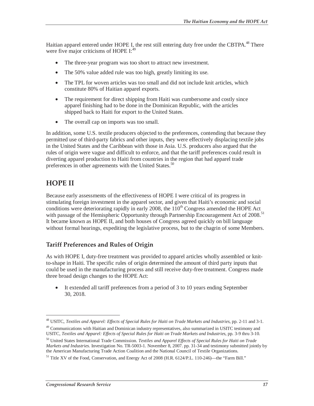Haitian apparel entered under HOPE I, the rest still entering duty free under the CBTPA.<sup>48</sup> There were five major criticisms of HOPE I:<sup>49</sup>

- The three-year program was too short to attract new investment.
- The 50% value added rule was too high, greatly limiting its use.
- The TPL for woven articles was too small and did not include knit articles, which constitute 80% of Haitian apparel exports.
- The requirement for direct shipping from Haiti was cumbersome and costly since apparel finishing had to be done in the Dominican Republic, with the articles shipped back to Haiti for export to the United States.
- The overall cap on imports was too small.

In addition, some U.S. textile producers objected to the preferences, contending that because they permitted use of third-party fabrics and other inputs, they were effectively displacing textile jobs in the United States and the Caribbean with those in Asia. U.S. producers also argued that the rules of origin were vague and difficult to enforce, and that the tariff preferences could result in diverting apparel production to Haiti from countries in the region that had apparel trade preferences in other agreements with the United States.<sup>50</sup>

#### **HOPE II**

-

Because early assessments of the effectiveness of HOPE I were critical of its progress in stimulating foreign investment in the apparel sector, and given that Haiti's economic and social conditions were deteriorating rapidly in early 2008, the 110<sup>th</sup> Congress amended the HOPE Act with passage of the Hemispheric Opportunity through Partnership Encouragement Act of 2008.<sup>51</sup> It became known as HOPE II, and both houses of Congress agreed quickly on bill language without formal hearings, expediting the legislative process, but to the chagrin of some Members.

#### **Tariff Preferences and Rules of Origin**

As with HOPE I, duty-free treatment was provided to apparel articles wholly assembled or knitto-shape in Haiti. The specific rules of origin determined the amount of third party inputs that could be used in the manufacturing process and still receive duty-free treatment. Congress made three broad design changes to the HOPE Act:

• It extended all tariff preferences from a period of 3 to 10 years ending September 30, 2018.

<sup>48</sup> USITC, *Textiles and Apparel: Effects of Special Rules for Haiti on Trade Markets and Industries*, pp. 2-11 and 3-1.

<sup>&</sup>lt;sup>49</sup> Communications with Haitian and Dominican industry representatives, also summarized in USITC testimony and USITC, *Textiles and Apparel: Effects of Special Rules for Haiti on Trade Markets and Industries*, pp. 3-9 thru 3-10.

<sup>50</sup> United States International Trade Commission. *Textiles and Apparel Effects of Special Rules for Haiti on Trade Markets and Industries*. Investigation No. TR-5003-1. November 8, 2007. pp. 31-34 and testimony submitted jointly by the American Manufacturing Trade Action Coalition and the National Council of Textile Organizations.

<sup>&</sup>lt;sup>51</sup> Title XV of the Food, Conservation, and Energy Act of 2008 (H.R. 6124/P.L. 110-246)—the "Farm Bill."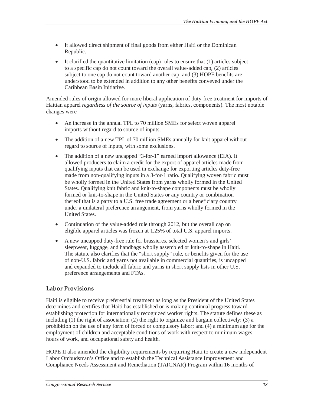- It allowed direct shipment of final goods from either Haiti or the Dominican Republic.
- It clarified the quantitative limitation (cap) rules to ensure that  $(1)$  articles subject to a specific cap do not count toward the overall value-added cap, (2) articles subject to one cap do not count toward another cap, and (3) HOPE benefits are understood to be extended in addition to any other benefits conveyed under the Caribbean Basin Initiative.

Amended rules of origin allowed for more liberal application of duty-free treatment for imports of Haitian apparel *regardless of the source of inputs* (yarns, fabrics, components). The most notable changes were

- An increase in the annual TPL to 70 million SMEs for select woven apparel imports without regard to source of inputs.
- The addition of a new TPL of 70 million SMEs annually for knit apparel without regard to source of inputs, with some exclusions.
- The addition of a new uncapped "3-for-1" earned import allowance (EIA). It allowed producers to claim a credit for the export of apparel articles made from qualifying inputs that can be used in exchange for exporting articles duty-free made from non-qualifying inputs in a 3-for-1 ratio. Qualifying woven fabric must be wholly formed in the United States from yarns wholly formed in the United States. Qualifying knit fabric and knit-to-shape components must be wholly formed or knit-to-shape in the United States or any country or combination thereof that is a party to a U.S. free trade agreement or a beneficiary country under a unilateral preference arrangement, from yarns wholly formed in the United States.
- Continuation of the value-added rule through 2012, but the overall cap on eligible apparel articles was frozen at 1.25% of total U.S. apparel imports.
- A new uncapped duty-free rule for brassieres, selected women's and girls' sleepwear, luggage, and handbags wholly assembled or knit-to-shape in Haiti. The statute also clarifies that the "short supply" rule, or benefits given for the use of non-U.S. fabric and yarns not available in commercial quantities, is uncapped and expanded to include all fabric and yarns in short supply lists in other U.S. preference arrangements and FTAs.

#### **Labor Provisions**

Haiti is eligible to receive preferential treatment as long as the President of the United States determines and certifies that Haiti has established or is making continual progress toward establishing protection for internationally recognized worker rights. The statute defines these as including (1) the right of association; (2) the right to organize and bargain collectively; (3) a prohibition on the use of any form of forced or compulsory labor; and (4) a minimum age for the employment of children and acceptable conditions of work with respect to minimum wages, hours of work, and occupational safety and health.

HOPE II also amended the eligibility requirements by requiring Haiti to create a new independent Labor Ombudsman's Office and to establish the Technical Assistance Improvement and Compliance Needs Assessment and Remediation (TAICNAR) Program within 16 months of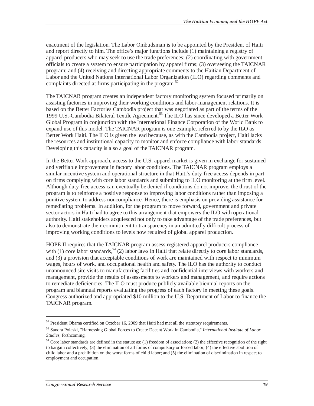enactment of the legislation. The Labor Ombudsman is to be appointed by the President of Haiti and report directly to him. The office's major functions include (1) maintaining a registry of apparel producers who may seek to use the trade preferences; (2) coordinating with government officials to create a system to ensure participation by apparel firms; (3) overseeing the TAICNAR program; and (4) receiving and directing appropriate comments to the Haitian Department of Labor and the United Nations International Labor Organization (ILO) regarding comments and complaints directed at firms participating in the program.<sup>52</sup>

The TAICNAR program creates an independent factory monitoring system focused primarily on assisting factories in improving their working conditions and labor-management relations. It is based on the Better Factories Cambodia project that was negotiated as part of the terms of the 1999 U.S.-Cambodia Bilateral Textile Agreement.<sup>53</sup> The ILO has since developed a Better Work Global Program in conjunction with the International Finance Corporation of the World Bank to expand use of this model. The TAICNAR program is one example, referred to by the ILO as Better Work Haiti. The ILO is given the lead because, as with the Cambodia project, Haiti lacks the resources and institutional capacity to monitor and enforce compliance with labor standards. Developing this capacity is also a goal of the TAICNAR program.

In the Better Work approach, access to the U.S. apparel market is given in exchange for sustained and verifiable improvement in factory labor conditions. The TAICNAR program employs a similar incentive system and operational structure in that Haiti's duty-free access depends in part on firms complying with core labor standards and submitting to ILO monitoring at the firm level. Although duty-free access can eventually be denied if conditions do not improve, the thrust of the program is to reinforce a positive response to improving labor conditions rather than imposing a punitive system to address noncompliance. Hence, there is emphasis on providing assistance for remediating problems. In addition, for the program to move forward, government and private sector actors in Haiti had to agree to this arrangement that empowers the ILO with operational authority. Haiti stakeholders acquiesced not only to take advantage of the trade preferences, but also to demonstrate their commitment to transparency in an admittedly difficult process of improving working conditions to levels now required of global apparel production.

HOPE II requires that the TAICNAR program assess registered apparel producers compliance with (1) core labor standards,<sup>54</sup> (2) labor laws in Haiti that relate directly to core labor standards, and (3) a provision that acceptable conditions of work are maintained with respect to minimum wages, hours of work, and occupational health and safety. The ILO has the authority to conduct unannounced site visits to manufacturing facilities and confidential interviews with workers and management, provide the results of assessments to workers and management, and require actions to remediate deficiencies. The ILO must produce publicly available biennial reports on the program and biannual reports evaluating the progress of each factory in meeting these goals. Congress authorized and appropriated \$10 million to the U.S. Department of Labor to finance the TAICNAR program.

<u>.</u>

<sup>&</sup>lt;sup>52</sup> President Obama certified on October 16, 2009 that Haiti had met all the statutory requirements.

<sup>53</sup> Sandra Polaski, "Harnessing Global Forces to Create Decent Work in Cambodia," *International Institute of Labor Studies*, forthcoming.

<sup>&</sup>lt;sup>54</sup> Core labor standards are defined in the statute as: (1) freedom of association; (2) the effective recognition of the right to bargain collectively; (3) the elimination of all forms of compulsory or forced labor; (4) the effective abolition of child labor and a prohibition on the worst forms of child labor; and (5) the elimination of discrimination in respect to employment and occupation.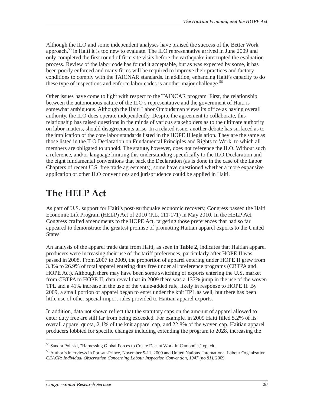Although the ILO and some independent analyses have praised the success of the Better Work approach,<sup>55</sup> in Haiti it is too new to evaluate. The ILO representative arrived in June 2009 and only completed the first round of firm site visits before the earthquake interrupted the evaluation process. Review of the labor code has found it acceptable, but as was expected by some, it has been poorly enforced and many firms will be required to improve their practices and factory conditions to comply with the TAICNAR standards. In addition, enhancing Haiti's capacity to do these type of inspections and enforce labor codes is another major challenge.<sup>56</sup>

Other issues have come to light with respect to the TAINCAR program. First, the relationship between the autonomous nature of the ILO's representative and the government of Haiti is somewhat ambiguous. Although the Haiti Labor Ombudsman views its office as having overall authority, the ILO does operate independently. Despite the agreement to collaborate, this relationship has raised questions in the minds of various stakeholders as to the ultimate authority on labor matters, should disagreements arise. In a related issue, another debate has surfaced as to the implication of the core labor standards listed in the HOPE II legislation. They are the same as those listed in the ILO Declaration on Fundamental Principles and Rights to Work, to which all members are obligated to uphold. The statute, however, does not reference the ILO. Without such a reference, and/or language limiting this understanding specifically to the ILO Declaration and the eight fundamental conventions that back the Declaration (as is done in the case of the Labor Chapters of recent U.S. free trade agreements), some have questioned whether a more expansive application of other ILO conventions and jurisprudence could be applied in Haiti.

## **The HELP Act**

As part of U.S. support for Haiti's post-earthquake economic recovery, Congress passed the Haiti Economic Lift Program (HELP) Act of 2010 (P.L. 111-171) in May 2010. In the HELP Act, Congress crafted amendments to the HOPE Act, targeting those preferences that had so far appeared to demonstrate the greatest promise of promoting Haitian apparel exports to the United States.

An analysis of the apparel trade data from Haiti, as seen in **Table 2**, indicates that Haitian apparel producers were increasing their use of the tariff preferences, particularly after HOPE II was passed in 2008. From 2007 to 2009, the proportion of apparel entering under HOPE II grew from 3.3% to 26.9% of total apparel entering duty free under all preference programs (CBTPA and HOPE Act). Although there may have been some switching of exports entering the U.S. market from CBTPA to HOPE II, data reveal that in 2009 there was a 137% jump in the use of the woven TPL and a 41% increase in the use of the value-added rule, likely in response to HOPE II. By 2009, a small portion of apparel began to enter under the knit TPL as well, but there has been little use of other special import rules provided to Haitian apparel exports.

In addition, data not shown reflect that the statutory caps on the amount of apparel allowed to enter duty free are still far from being exceeded. For example, in 2009 Haiti filled 5.2% of its overall apparel quota, 2.1% of the knit apparel cap, and 22.8% of the woven cap. Haitian apparel producers lobbied for specific changes including extending the program to 2028, increasing the

<sup>55</sup> Sandra Polaski, "Harnessing Global Forces to Create Decent Work in Cambodia," op. cit.

<sup>56</sup> Author's interviews in Port-au-Prince, November 5-11, 2009 and United Nations. International Labour Organization. *CEACR: Individual Observation Concerning Labour Inspection Convention, 1947 (no 81).* 2009.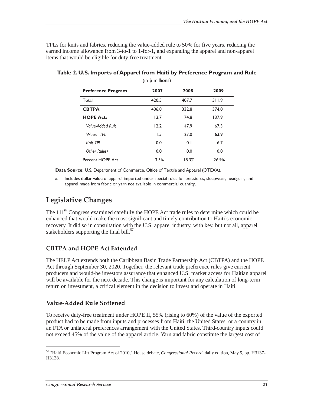TPLs for knits and fabrics, reducing the value-added rule to 50% for five years, reducing the earned income allowance from 3-to-1 to 1-for-1, and expanding the apparel and non-apparel items that would be eligible for duty-free treatment.

| (in \$ millions)          |       |       |       |  |  |  |  |  |
|---------------------------|-------|-------|-------|--|--|--|--|--|
| <b>Preference Program</b> | 2007  | 2008  | 2009  |  |  |  |  |  |
| Total                     | 420.5 | 407.7 | 511.9 |  |  |  |  |  |
| <b>CBTPA</b>              | 406.8 | 332.8 | 374.0 |  |  |  |  |  |
| <b>HOPE Act:</b>          | 13.7  | 74.8  | 137.9 |  |  |  |  |  |
| Value-Added Rule          | 12.2  | 47.9  | 67.3  |  |  |  |  |  |
| Woven TPI                 | 1.5   | 27.0  | 63.9  |  |  |  |  |  |
| Knit TPL                  | 0.0   | 0.1   | 6.7   |  |  |  |  |  |
| Other Rules <sup>a</sup>  | 0.0   | 0.0   | 0.0   |  |  |  |  |  |
| Percent HOPE Act          | 3.3%  | 18.3% | 26.9% |  |  |  |  |  |

**Table 2. U.S. Imports of Apparel from Haiti by Preference Program and Rule** 

**Data Source:** U.S. Department of Commerce. Office of Textile and Apparel (OTEXA).

a. Includes dollar value of apparel imported under special rules for brassieres, sleepwear, headgear, and apparel made from fabric or yarn not available in commercial quantity.

### **Legislative Changes**

The  $111<sup>th</sup>$  Congress examined carefully the HOPE Act trade rules to determine which could be enhanced that would make the most significant and timely contribution to Haiti's economic recovery. It did so in consultation with the U.S. apparel industry, with key, but not all, apparel stakeholders supporting the final bill. $57$ 

#### **CBTPA and HOPE Act Extended**

The HELP Act extends both the Caribbean Basin Trade Partnership Act (CBTPA) and the HOPE Act through September 30, 2020. Together, the relevant trade preference rules give current producers and would-be investors assurance that enhanced U.S. market access for Haitian apparel will be available for the next decade. This change is important for any calculation of long-term return on investment, a critical element in the decision to invest and operate in Haiti.

#### **Value-Added Rule Softened**

To receive duty-free treatment under HOPE II, 55% (rising to 60%) of the value of the exported product had to be made from inputs and processes from Haiti, the United States, or a country in an FTA or unilateral preferences arrangement with the United States. Third-country inputs could not exceed 45% of the value of the apparel article. Yarn and fabric constitute the largest cost of

<sup>57 &</sup>quot;Haiti Economic Lift Program Act of 2010," House debate, *Congressional Record*, daily edition, May 5, pp. H3137- H3138.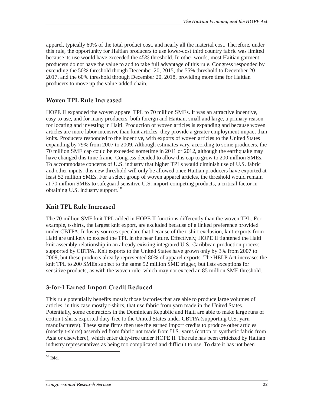apparel, typically 60% of the total product cost, and nearly all the material cost. Therefore, under this rule, the opportunity for Haitian producers to use lower-cost third country fabric was limited because its use would have exceeded the 45% threshold. In other words, most Haitian garment producers do not have the value to add to take full advantage of this rule. Congress responded by extending the 50% threshold though December 20, 2015, the 55% threshold to December 20 2017, and the 60% threshold through December 20, 2018, providing more time for Haitian producers to move up the value-added chain.

#### **Woven TPL Rule Increased**

HOPE II expanded the woven apparel TPL to 70 million SMEs. It was an attractive incentive, easy to use, and for many producers, both foreign and Haitian, small and large, a primary reason for locating and investing in Haiti. Production of woven articles is expanding and because woven articles are more labor intensive than knit articles, they provide a greater employment impact than knits. Producers responded to the incentive, with exports of woven articles to the United States expanding by 79% from 2007 to 2009. Although estimates vary, according to some producers, the 70 million SME cap could be exceeded sometime in 2011 or 2012, although the earthquake may have changed this time frame. Congress decided to allow this cap to grow to 200 million SMEs. To accommodate concerns of U.S. industry that higher TPLs would diminish use of U.S. fabric and other inputs, this new threshold will only be allowed once Haitian producers have exported at least 52 million SMEs. For a select group of woven apparel articles, the threshold would remain at 70 million SMEs to safeguard sensitive U.S. import-competing products, a critical factor in obtaining U.S. industry support.<sup>58</sup>

#### **Knit TPL Rule Increased**

The 70 million SME knit TPL added in HOPE II functions differently than the woven TPL. For example, t-shirts, the largest knit export, are excluded because of a linked preference provided under CBTPA. Industry sources speculate that because of the t-shirt exclusion, knit exports from Haiti are unlikely to exceed the TPL in the near future. Effectively, HOPE II tightened the Haiti knit assembly relationship in an already existing integrated U.S.-Caribbean production process supported by CBTPA. Knit exports to the United States have grown only by 3% from 2007 to 2009, but these products already represented 80% of apparel exports. The HELP Act increases the knit TPL to 200 SMEs subject to the same 52 million SME trigger, but lists exceptions for sensitive products, as with the woven rule, which may not exceed an 85 million SME threshold.

#### **3-for-1 Earned Import Credit Reduced**

This rule potentially benefits mostly those factories that are able to produce large volumes of articles, in this case mostly t-shirts, that use fabric from yarn made in the United States. Potentially, some contractors in the Dominican Republic and Haiti are able to make large runs of cotton t-shirts exported duty-free to the United States under CBTPA (supporting U.S. yarn manufacturers). These same firms then use the earned import credits to produce other articles (mostly t-shirts) assembled from fabric not made from U.S. yarns (cotton or synthetic fabric from Asia or elsewhere), which enter duty-free under HOPE II. The rule has been criticized by Haitian industry representatives as being too complicated and difficult to use. To date it has not been

<sup>58</sup> Ibid.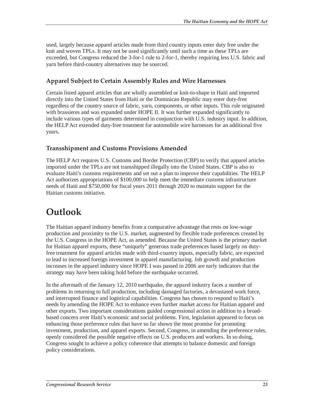used, largely because apparel articles made from third country inputs enter duty free under the knit and woven TPLs. It may not be used significantly until such a time as these TPLs are exceeded, but Congress reduced the 3-for-1 rule to 2-for-1, thereby requiring less U.S. fabric and yarn before third-country alternatives may be sourced.

#### **Apparel Subject to Certain Assembly Rules and Wire Harnesses**

Certain listed apparel articles that are wholly assembled or knit-to-shape in Haiti and imported directly into the United States from Haiti or the Dominican Republic may enter duty-free regardless of the country source of fabric, yarn, components, or other inputs. This rule originated with brassieres and was expanded under HOPE II. It was further expanded significantly to include various types of garments determined in conjunction with U.S. industry input. In addition, the HELP Act extended duty-free treatment for automobile wire harnesses for an additional five years.

#### **Transshipment and Customs Provisions Amended**

The HELP Act requires U.S. Customs and Border Protection (CBP) to verify that apparel articles imported under the TPLs are not transshipped illegally into the United States. CBP is also to evaluate Haiti's customs requirements and set out a plan to improve their capabilities. The HELP Act authorizes appropriations of \$100,000 to help meet the immediate customs infrastructure needs of Haiti and \$750,000 for fiscal years 2011 through 2020 to maintain support for the Haitian customs initiative.

## **Outlook**

The Haitian apparel industry benefits from a comparative advantage that rests on low-wage production and proximity to the U.S. market, augmented by flexible trade preferences created by the U.S. Congress in the HOPE Act, as amended. Because the United States is the primary market for Haitian apparel exports, these "uniquely" generous trade preferences based largely on dutyfree treatment for apparel articles made with third-country inputs, especially fabric, are expected to lead to increased foreign investment in apparel manufacturing. Job growth and production increases in the apparel industry since HOPE I was passed in 2006 are early indicators that the strategy may have been taking hold before the earthquake occurred.

In the aftermath of the January 12, 2010 earthquake, the apparel industry faces a number of problems in returning to full production, including damaged factories, a devastated work force, and interrupted finance and logistical capabilities. Congress has chosen to respond to Haiti's needs by amending the HOPE Act to enhance even further market access for Haitian apparel and other exports. Two important considerations guided congressional action in addition to a broadbased concern over Haiti's economic and social problems. First, legislation appeared to focus on enhancing those preference rules that have so far shown the most promise for promoting investment, production, and apparel exports. Second, Congress, in amending the preference rules, openly considered the possible negative effects on U.S. producers and workers. In so doing, Congress sought to achieve a policy coherence that attempts to balance domestic and foreign policy considerations.